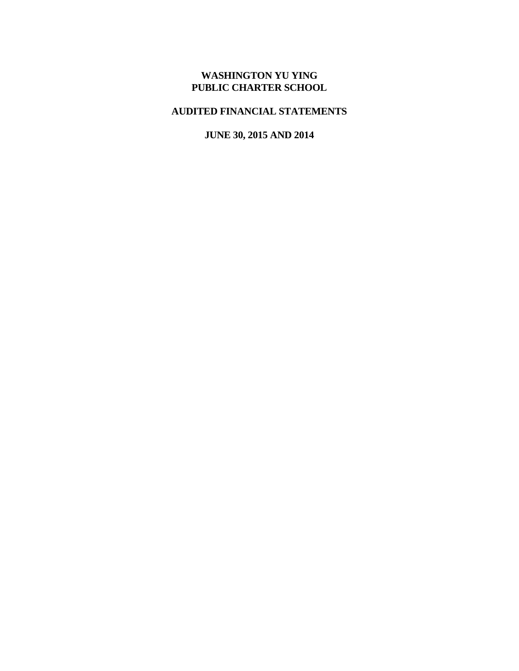## **WASHINGTON YU YING PUBLIC CHARTER SCHOOL**

# **AUDITED FINANCIAL STATEMENTS**

**JUNE 30, 2015 AND 2014**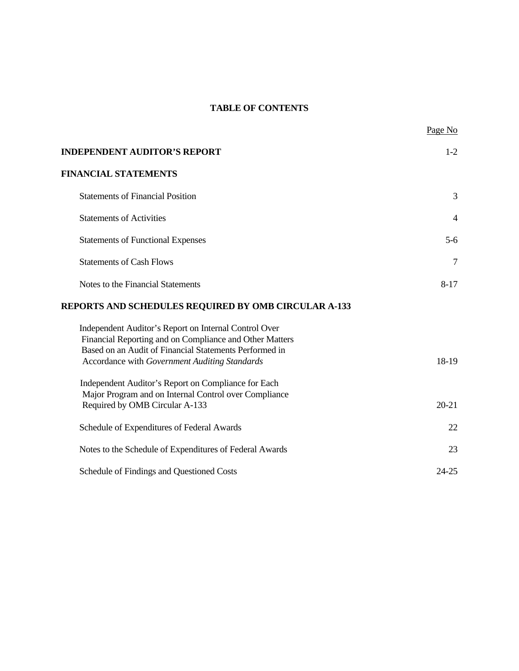## **TABLE OF CONTENTS**

|                                                                                                                                                                                                                             | Page No        |
|-----------------------------------------------------------------------------------------------------------------------------------------------------------------------------------------------------------------------------|----------------|
| <b>INDEPENDENT AUDITOR'S REPORT</b>                                                                                                                                                                                         | $1-2$          |
| <b>FINANCIAL STATEMENTS</b>                                                                                                                                                                                                 |                |
| <b>Statements of Financial Position</b>                                                                                                                                                                                     | 3              |
| <b>Statements of Activities</b>                                                                                                                                                                                             | $\overline{4}$ |
| <b>Statements of Functional Expenses</b>                                                                                                                                                                                    | $5-6$          |
| <b>Statements of Cash Flows</b>                                                                                                                                                                                             | 7              |
| Notes to the Financial Statements                                                                                                                                                                                           | $8 - 17$       |
| REPORTS AND SCHEDULES REQUIRED BY OMB CIRCULAR A-133                                                                                                                                                                        |                |
| Independent Auditor's Report on Internal Control Over<br>Financial Reporting and on Compliance and Other Matters<br>Based on an Audit of Financial Statements Performed in<br>Accordance with Government Auditing Standards | 18-19          |
| Independent Auditor's Report on Compliance for Each<br>Major Program and on Internal Control over Compliance<br>Required by OMB Circular A-133                                                                              | $20 - 21$      |
| Schedule of Expenditures of Federal Awards                                                                                                                                                                                  | 22             |
| Notes to the Schedule of Expenditures of Federal Awards                                                                                                                                                                     | 23             |
| Schedule of Findings and Questioned Costs                                                                                                                                                                                   | $24 - 25$      |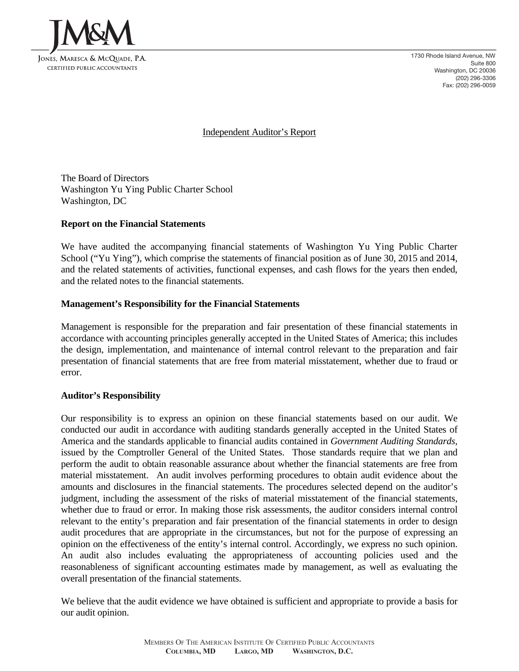

1730 Rhode Island Avenue, NW Suite 800 Washington, DC 20036 (202) 296-3306 Fax: (202) 296-0059

Independent Auditor's Report

The Board of Directors Washington Yu Ying Public Charter School Washington, DC

## **Report on the Financial Statements**

We have audited the accompanying financial statements of Washington Yu Ying Public Charter School ("Yu Ying"), which comprise the statements of financial position as of June 30, 2015 and 2014, and the related statements of activities, functional expenses, and cash flows for the years then ended, and the related notes to the financial statements.

## **Management's Responsibility for the Financial Statements**

Management is responsible for the preparation and fair presentation of these financial statements in accordance with accounting principles generally accepted in the United States of America; this includes the design, implementation, and maintenance of internal control relevant to the preparation and fair presentation of financial statements that are free from material misstatement, whether due to fraud or error.

### **Auditor's Responsibility**

Our responsibility is to express an opinion on these financial statements based on our audit. We conducted our audit in accordance with auditing standards generally accepted in the United States of America and the standards applicable to financial audits contained in *Government Auditing Standards,* issued by the Comptroller General of the United States. Those standards require that we plan and perform the audit to obtain reasonable assurance about whether the financial statements are free from material misstatement. An audit involves performing procedures to obtain audit evidence about the amounts and disclosures in the financial statements. The procedures selected depend on the auditor's judgment, including the assessment of the risks of material misstatement of the financial statements, whether due to fraud or error. In making those risk assessments, the auditor considers internal control relevant to the entity's preparation and fair presentation of the financial statements in order to design audit procedures that are appropriate in the circumstances, but not for the purpose of expressing an opinion on the effectiveness of the entity's internal control. Accordingly, we express no such opinion. An audit also includes evaluating the appropriateness of accounting policies used and the reasonableness of significant accounting estimates made by management, as well as evaluating the overall presentation of the financial statements.

We believe that the audit evidence we have obtained is sufficient and appropriate to provide a basis for our audit opinion.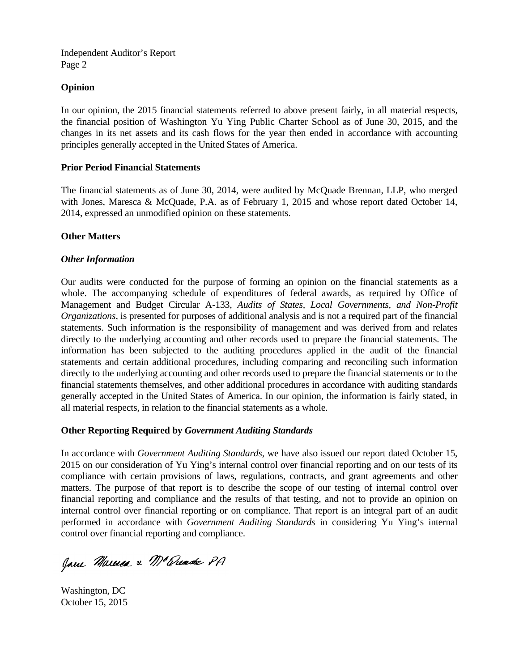Independent Auditor's Report Page 2

## **Opinion**

In our opinion, the 2015 financial statements referred to above present fairly, in all material respects, the financial position of Washington Yu Ying Public Charter School as of June 30, 2015, and the changes in its net assets and its cash flows for the year then ended in accordance with accounting principles generally accepted in the United States of America.

## **Prior Period Financial Statements**

The financial statements as of June 30, 2014, were audited by McQuade Brennan, LLP, who merged with Jones, Maresca & McQuade, P.A. as of February 1, 2015 and whose report dated October 14, 2014, expressed an unmodified opinion on these statements.

## **Other Matters**

## *Other Information*

Our audits were conducted for the purpose of forming an opinion on the financial statements as a whole. The accompanying schedule of expenditures of federal awards, as required by Office of Management and Budget Circular A-133, *Audits of States, Local Governments, and Non-Profit Organizations*, is presented for purposes of additional analysis and is not a required part of the financial statements. Such information is the responsibility of management and was derived from and relates directly to the underlying accounting and other records used to prepare the financial statements. The information has been subjected to the auditing procedures applied in the audit of the financial statements and certain additional procedures, including comparing and reconciling such information directly to the underlying accounting and other records used to prepare the financial statements or to the financial statements themselves, and other additional procedures in accordance with auditing standards generally accepted in the United States of America. In our opinion, the information is fairly stated, in all material respects, in relation to the financial statements as a whole.

## **Other Reporting Required by** *Government Auditing Standards*

In accordance with *Government Auditing Standards*, we have also issued our report dated October 15, 2015 on our consideration of Yu Ying's internal control over financial reporting and on our tests of its compliance with certain provisions of laws, regulations, contracts, and grant agreements and other matters. The purpose of that report is to describe the scope of our testing of internal control over financial reporting and compliance and the results of that testing, and not to provide an opinion on internal control over financial reporting or on compliance. That report is an integral part of an audit performed in accordance with *Government Auditing Standards* in considering Yu Ying's internal control over financial reporting and compliance.

Jam Marina & M'Quade PA

Washington, DC October 15, 2015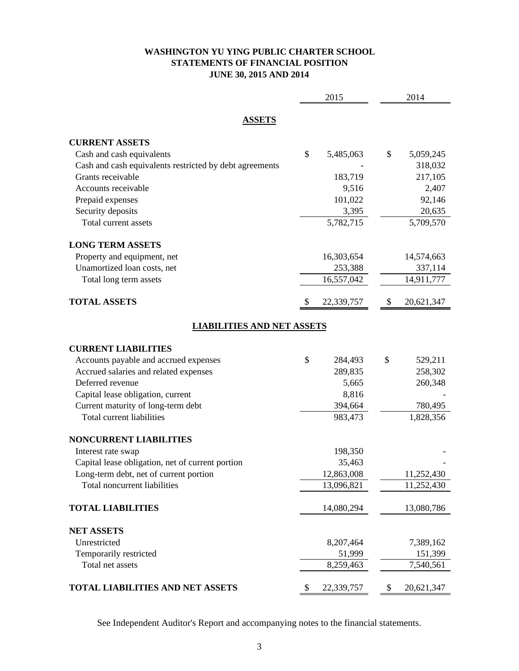## **WASHINGTON YU YING PUBLIC CHARTER SCHOOL STATEMENTS OF FINANCIAL POSITION JUNE 30, 2015 AND 2014**

|                                                                                | 2015                       | 2014               |
|--------------------------------------------------------------------------------|----------------------------|--------------------|
| <b>ASSETS</b>                                                                  |                            |                    |
|                                                                                |                            |                    |
| <b>CURRENT ASSETS</b>                                                          |                            |                    |
| Cash and cash equivalents                                                      | $\mathcal{S}$<br>5,485,063 | \$<br>5,059,245    |
| Cash and cash equivalents restricted by debt agreements                        |                            | 318,032            |
| Grants receivable                                                              | 183,719                    | 217,105            |
| Accounts receivable                                                            | 9,516                      | 2,407              |
| Prepaid expenses                                                               | 101,022                    | 92,146             |
| Security deposits                                                              | 3,395                      | 20,635             |
| Total current assets                                                           | 5,782,715                  | 5,709,570          |
| <b>LONG TERM ASSETS</b>                                                        |                            |                    |
| Property and equipment, net                                                    | 16,303,654                 | 14,574,663         |
| Unamortized loan costs, net                                                    | 253,388                    | 337,114            |
| Total long term assets                                                         | 16,557,042                 | 14,911,777         |
| <b>TOTAL ASSETS</b>                                                            | 22,339,757                 | 20,621,347<br>\$   |
| <b>LIABILITIES AND NET ASSETS</b>                                              |                            |                    |
|                                                                                |                            |                    |
| <b>CURRENT LIABILITIES</b>                                                     | \$<br>284,493              | \$                 |
| Accounts payable and accrued expenses<br>Accrued salaries and related expenses | 289,835                    | 529,211<br>258,302 |
| Deferred revenue                                                               | 5,665                      | 260,348            |
| Capital lease obligation, current                                              | 8,816                      |                    |
| Current maturity of long-term debt                                             | 394,664                    | 780,495            |
| Total current liabilities                                                      | 983,473                    | 1,828,356          |
| <b>NONCURRENT LIABILITIES</b>                                                  |                            |                    |
| Interest rate swap                                                             | 198,350                    |                    |
| Capital lease obligation, net of current portion                               | 35,463                     |                    |
| Long-term debt, net of current portion                                         | 12,863,008                 | 11,252,430         |
| Total noncurrent liabilities                                                   | 13,096,821                 | 11,252,430         |
|                                                                                |                            |                    |
| <b>TOTAL LIABILITIES</b>                                                       | 14,080,294                 | 13,080,786         |
| <b>NET ASSETS</b>                                                              |                            |                    |
| Unrestricted                                                                   | 8,207,464                  | 7,389,162          |
| Temporarily restricted                                                         | 51,999                     | 151,399            |
| Total net assets                                                               | 8,259,463                  | 7,540,561          |
| TOTAL LIABILITIES AND NET ASSETS                                               | 22,339,757<br>\$           | \$<br>20,621,347   |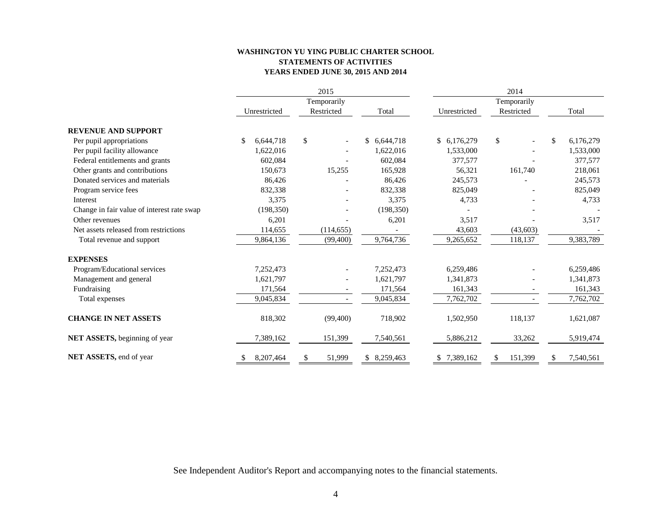#### **WASHINGTON YU YING PUBLIC CHARTER SCHOOL STATEMENTS OF ACTIVITIES YEARS ENDED JUNE 30, 2015 AND 2014**

|                                            |                 | 2015<br>2014 |                  |                 |               |                 |
|--------------------------------------------|-----------------|--------------|------------------|-----------------|---------------|-----------------|
|                                            |                 | Temporarily  |                  |                 |               |                 |
|                                            | Unrestricted    | Restricted   | Total            | Unrestricted    | Restricted    | Total           |
| <b>REVENUE AND SUPPORT</b>                 |                 |              |                  |                 |               |                 |
| Per pupil appropriations                   | \$<br>6,644,718 | \$           | \$<br>6,644,718  | \$<br>6,176,279 | \$            | \$<br>6,176,279 |
| Per pupil facility allowance               | 1,622,016       |              | 1,622,016        | 1,533,000       |               | 1,533,000       |
| Federal entitlements and grants            | 602,084         |              | 602,084          | 377,577         |               | 377,577         |
| Other grants and contributions             | 150,673         | 15,255       | 165,928          | 56,321          | 161,740       | 218,061         |
| Donated services and materials             | 86,426          |              | 86,426           | 245,573         |               | 245,573         |
| Program service fees                       | 832,338         |              | 832,338          | 825,049         |               | 825,049         |
| Interest                                   | 3,375           |              | 3,375            | 4,733           |               | 4,733           |
| Change in fair value of interest rate swap | (198, 350)      |              | (198, 350)       |                 |               |                 |
| Other revenues                             | 6,201           |              | 6,201            | 3,517           |               | 3,517           |
| Net assets released from restrictions      | 114,655         | (114, 655)   |                  | 43,603          | (43, 603)     |                 |
| Total revenue and support                  | 9,864,136       | (99, 400)    | 9,764,736        | 9,265,652       | 118,137       | 9,383,789       |
| <b>EXPENSES</b>                            |                 |              |                  |                 |               |                 |
| Program/Educational services               | 7,252,473       |              | 7,252,473        | 6,259,486       |               | 6,259,486       |
| Management and general                     | 1,621,797       |              | 1,621,797        | 1,341,873       |               | 1,341,873       |
| Fundraising                                | 171,564         |              | 171,564          | 161,343         |               | 161,343         |
| Total expenses                             | 9,045,834       |              | 9,045,834        | 7,762,702       |               | 7,762,702       |
| <b>CHANGE IN NET ASSETS</b>                | 818,302         | (99,400)     | 718,902          | 1,502,950       | 118,137       | 1,621,087       |
| NET ASSETS, beginning of year              | 7,389,162       | 151,399      | 7,540,561        | 5,886,212       | 33,262        | 5,919,474       |
| NET ASSETS, end of year                    | 8,207,464<br>P. | 51,999<br>\$ | 8,259,463<br>\$. | 7,389,162<br>S. | 151,399<br>S, | 7,540,561<br>S  |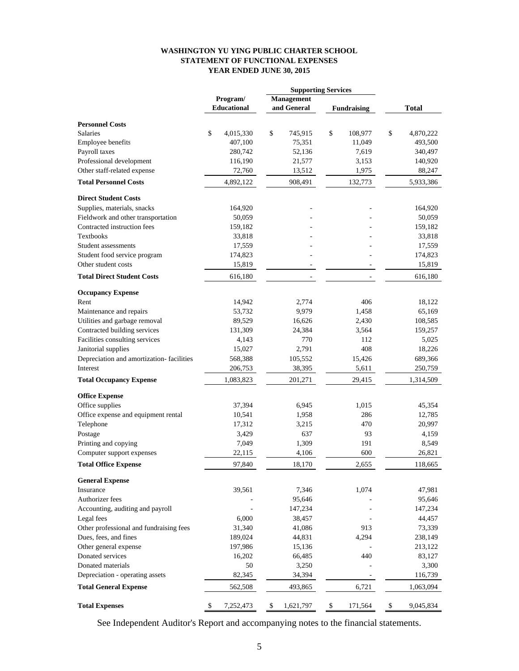#### **WASHINGTON YU YING PUBLIC CHARTER SCHOOL STATEMENT OF FUNCTIONAL EXPENSES YEAR ENDED JUNE 30, 2015**

|                                          | <b>Supporting Services</b>     |                                  |                         |                   |
|------------------------------------------|--------------------------------|----------------------------------|-------------------------|-------------------|
|                                          | Program/<br><b>Educational</b> | <b>Management</b><br>and General |                         | <b>Total</b>      |
|                                          |                                |                                  | <b>Fundraising</b>      |                   |
| <b>Personnel Costs</b>                   |                                |                                  |                         |                   |
| <b>Salaries</b>                          | \$<br>4,015,330                | \$<br>745,915                    | \$<br>108,977           | \$<br>4,870,222   |
| Employee benefits                        | 407,100                        | 75,351                           | 11,049                  | 493,500           |
| Payroll taxes                            | 280,742                        | 52,136                           | 7,619                   | 340,497           |
| Professional development                 | 116,190                        | 21,577                           | 3,153                   | 140,920           |
| Other staff-related expense              | 72,760                         | 13,512                           | 1,975                   | 88,247            |
| <b>Total Personnel Costs</b>             | 4,892,122                      | 908,491                          | 132,773                 | 5,933,386         |
| <b>Direct Student Costs</b>              |                                |                                  |                         |                   |
| Supplies, materials, snacks              | 164,920                        |                                  |                         | 164,920           |
| Fieldwork and other transportation       | 50,059                         |                                  |                         | 50,059            |
| Contracted instruction fees              | 159,182                        |                                  |                         | 159,182           |
| Textbooks                                | 33,818                         |                                  |                         | 33,818            |
| Student assessments                      | 17,559                         |                                  |                         | 17,559            |
| Student food service program             | 174,823                        |                                  |                         | 174,823           |
| Other student costs                      | 15,819                         |                                  |                         | 15,819            |
| <b>Total Direct Student Costs</b>        | 616,180                        |                                  |                         | 616,180           |
| <b>Occupancy Expense</b>                 |                                |                                  |                         |                   |
| Rent                                     | 14,942                         | 2,774                            | 406                     | 18,122            |
| Maintenance and repairs                  | 53,732                         | 9,979                            | 1,458                   | 65,169            |
| Utilities and garbage removal            | 89,529                         | 16,626                           | 2,430                   | 108,585           |
| Contracted building services             | 131,309                        | 24,384                           | 3,564                   | 159,257           |
| Facilities consulting services           | 4,143                          | 770                              | 112                     | 5,025             |
| Janitorial supplies                      | 15,027                         | 2,791                            | 408                     | 18,226            |
| Depreciation and amortization-facilities | 568,388                        | 105,552                          | 15,426                  | 689,366           |
| Interest                                 | 206,753                        | 38,395                           | 5,611                   | 250,759           |
| <b>Total Occupancy Expense</b>           | 1,083,823                      | 201,271                          | 29,415                  | 1,314,509         |
| <b>Office Expense</b>                    |                                |                                  |                         |                   |
| Office supplies                          | 37,394                         | 6,945                            | 1,015                   | 45,354            |
| Office expense and equipment rental      | 10,541                         | 1,958                            | 286                     | 12,785            |
| Telephone                                | 17,312                         | 3,215                            | 470                     | 20,997            |
| Postage                                  | 3,429                          | 637                              | 93                      | 4,159             |
| Printing and copying                     | 7,049                          | 1,309                            | 191                     | 8,549             |
| Computer support expenses                | 22,115                         | 4,106                            | 600                     | 26,821            |
| <b>Total Office Expense</b>              | 97,840                         | 18,170                           | 2,655                   | 118,665           |
| <b>General Expense</b>                   |                                |                                  |                         |                   |
| Insurance                                | 39,561                         | 7,346                            | 1,074                   | 47,981            |
| Authorizer fees                          |                                | 95,646                           |                         | 95,646            |
| Accounting, auditing and payroll         |                                | 147,234                          |                         | 147,234           |
| Legal fees                               | 6,000                          | 38,457                           |                         | 44,457            |
| Other professional and fundraising fees  | 31,340                         | 41,086                           | 913                     | 73,339            |
| Dues, fees, and fines                    | 189,024                        | 44,831                           | 4,294                   | 238,149           |
| Other general expense                    | 197,986                        | 15,136                           |                         | 213,122           |
| Donated services                         | 16,202                         | 66,485                           | 440                     | 83,127            |
| Donated materials                        | 50                             | 3,250                            |                         | 3,300             |
| Depreciation - operating assets          | 82,345                         | 34,394                           |                         | 116,739           |
| <b>Total General Expense</b>             | 562,508                        | 493,865                          | 6,721                   | 1,063,094         |
| <b>Total Expenses</b>                    | \$<br>7,252,473                | \$<br>1,621,797                  | $\mathbb{S}$<br>171,564 | $\$$<br>9,045,834 |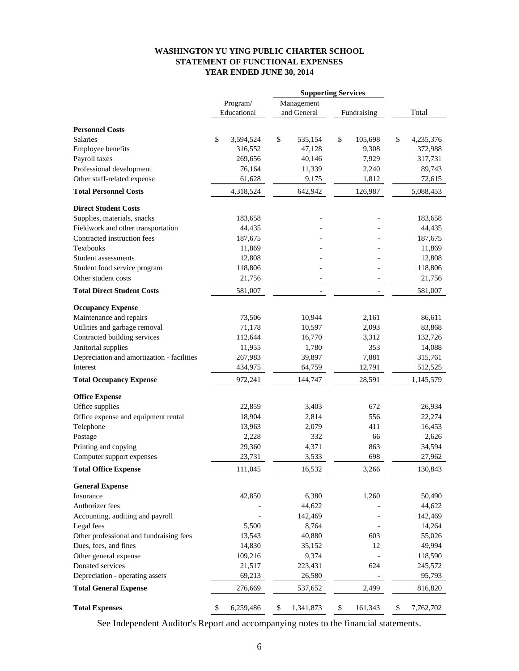### **WASHINGTON YU YING PUBLIC CHARTER SCHOOL STATEMENT OF FUNCTIONAL EXPENSES YEAR ENDED JUNE 30, 2014**

|                                                         |                     | <b>Supporting Services</b> |                  |                  |                     |
|---------------------------------------------------------|---------------------|----------------------------|------------------|------------------|---------------------|
|                                                         | Program/            |                            | Management       |                  |                     |
|                                                         | Educational         |                            | and General      | Fundraising      | Total               |
| <b>Personnel Costs</b>                                  |                     |                            |                  |                  |                     |
| <b>Salaries</b>                                         | \$<br>3,594,524     | \$                         | 535,154          | \$<br>105,698    | \$<br>4,235,376     |
| Employee benefits                                       | 316,552             |                            | 47,128           | 9,308            | 372,988             |
| Payroll taxes                                           |                     |                            |                  |                  |                     |
|                                                         | 269,656             |                            | 40,146           | 7,929            | 317,731             |
| Professional development<br>Other staff-related expense | 76,164              |                            | 11,339           | 2,240            | 89,743              |
| <b>Total Personnel Costs</b>                            | 61,628<br>4,318,524 |                            | 9,175<br>642,942 | 1,812<br>126,987 | 72,615<br>5,088,453 |
|                                                         |                     |                            |                  |                  |                     |
| <b>Direct Student Costs</b>                             |                     |                            |                  |                  |                     |
| Supplies, materials, snacks                             | 183,658             |                            |                  |                  | 183,658             |
| Fieldwork and other transportation                      | 44,435              |                            |                  |                  | 44,435              |
| Contracted instruction fees                             | 187,675             |                            |                  |                  | 187,675             |
| <b>Textbooks</b>                                        | 11,869              |                            |                  |                  | 11,869              |
| Student assessments                                     | 12,808              |                            |                  |                  | 12,808              |
| Student food service program                            | 118,806             |                            |                  |                  | 118,806             |
| Other student costs                                     | 21,756              |                            |                  |                  | 21,756              |
| <b>Total Direct Student Costs</b>                       | 581,007             |                            |                  |                  | 581,007             |
| <b>Occupancy Expense</b>                                |                     |                            |                  |                  |                     |
| Maintenance and repairs                                 | 73,506              |                            | 10,944           | 2,161            | 86,611              |
| Utilities and garbage removal                           | 71,178              |                            | 10,597           | 2,093            | 83,868              |
| Contracted building services                            | 112,644             |                            | 16,770           | 3,312            | 132,726             |
| Janitorial supplies                                     | 11,955              |                            | 1,780            | 353              | 14,088              |
| Depreciation and amortization - facilities              | 267,983             |                            | 39,897           | 7,881            | 315,761             |
| Interest                                                | 434,975             |                            | 64,759           | 12,791           | 512,525             |
| <b>Total Occupancy Expense</b>                          | 972,241             |                            | 144,747          | 28,591           | 1,145,579           |
|                                                         |                     |                            |                  |                  |                     |
| <b>Office Expense</b>                                   |                     |                            |                  |                  |                     |
| Office supplies                                         | 22,859              |                            | 3,403            | 672              | 26,934              |
| Office expense and equipment rental                     | 18,904              |                            | 2,814            | 556              | 22,274              |
| Telephone                                               | 13,963              |                            | 2,079            | 411              | 16,453              |
| Postage                                                 | 2,228               |                            | 332              | 66               | 2,626               |
| Printing and copying                                    | 29,360              |                            | 4,371            | 863              | 34,594              |
| Computer support expenses                               | 23,731              |                            | 3,533            | 698              | 27,962              |
| <b>Total Office Expense</b>                             | 111,045             |                            | 16,532           | 3,266            | 130,843             |
| <b>General Expense</b>                                  |                     |                            |                  |                  |                     |
| Insurance                                               | 42,850              |                            | 6,380            | 1,260            | 50,490              |
| Authorizer fees                                         |                     |                            | 44,622           |                  | 44,622              |
| Accounting, auditing and payroll                        |                     |                            | 142,469          |                  | 142,469             |
| Legal fees                                              | 5,500               |                            | 8,764            |                  | 14,264              |
| Other professional and fundraising fees                 | 13,543              |                            | 40,880           | 603              | 55,026              |
| Dues, fees, and fines                                   | 14,830              |                            | 35,152           | 12               | 49,994              |
| Other general expense                                   | 109,216             |                            | 9,374            |                  | 118,590             |
| Donated services                                        | 21,517              |                            | 223,431          | 624              | 245,572             |
| Depreciation - operating assets                         | 69,213              |                            | 26,580           |                  | 95,793              |
| <b>Total General Expense</b>                            | 276,669             |                            | 537,652          | 2,499            | 816,820             |
|                                                         |                     |                            |                  |                  |                     |
| <b>Total Expenses</b>                                   | \$<br>6,259,486     | \$                         | 1,341,873        | \$<br>161,343    | \$<br>7,762,702     |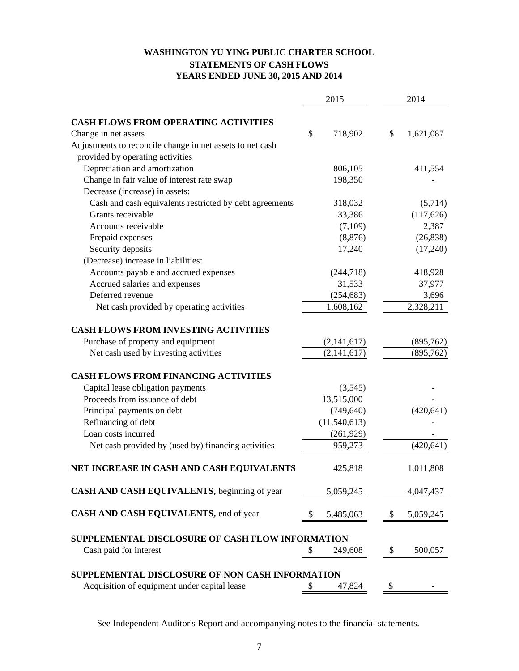## **WASHINGTON YU YING PUBLIC CHARTER SCHOOL STATEMENTS OF CASH FLOWS YEARS ENDED JUNE 30, 2015 AND 2014**

|                                                           |               | 2015          | 2014            |
|-----------------------------------------------------------|---------------|---------------|-----------------|
|                                                           |               |               |                 |
| <b>CASH FLOWS FROM OPERATING ACTIVITIES</b>               |               |               |                 |
| Change in net assets                                      | \$            | 718,902       | \$<br>1,621,087 |
| Adjustments to reconcile change in net assets to net cash |               |               |                 |
| provided by operating activities                          |               |               |                 |
| Depreciation and amortization                             |               | 806,105       | 411,554         |
| Change in fair value of interest rate swap                |               | 198,350       |                 |
| Decrease (increase) in assets:                            |               |               |                 |
| Cash and cash equivalents restricted by debt agreements   |               | 318,032       | (5,714)         |
| Grants receivable                                         |               | 33,386        | (117,626)       |
| Accounts receivable                                       |               | (7,109)       | 2,387           |
| Prepaid expenses                                          |               | (8, 876)      | (26, 838)       |
| Security deposits                                         |               | 17,240        | (17,240)        |
| (Decrease) increase in liabilities:                       |               |               |                 |
| Accounts payable and accrued expenses                     |               | (244, 718)    | 418,928         |
| Accrued salaries and expenses                             |               | 31,533        | 37,977          |
| Deferred revenue                                          |               | (254, 683)    | 3,696           |
| Net cash provided by operating activities                 |               | 1,608,162     | 2,328,211       |
| <b>CASH FLOWS FROM INVESTING ACTIVITIES</b>               |               |               |                 |
| Purchase of property and equipment                        |               | (2,141,617)   | (895,762)       |
| Net cash used by investing activities                     |               | (2, 141, 617) | (895, 762)      |
| <b>CASH FLOWS FROM FINANCING ACTIVITIES</b>               |               |               |                 |
| Capital lease obligation payments                         |               | (3,545)       |                 |
| Proceeds from issuance of debt                            |               | 13,515,000    |                 |
| Principal payments on debt                                |               | (749, 640)    | (420, 641)      |
| Refinancing of debt                                       |               | (11,540,613)  |                 |
| Loan costs incurred                                       |               | (261, 929)    |                 |
| Net cash provided by (used by) financing activities       |               | 959,273       | (420, 641)      |
| NET INCREASE IN CASH AND CASH EQUIVALENTS                 |               | 425,818       | 1,011,808       |
| CASH AND CASH EQUIVALENTS, beginning of year              |               | 5,059,245     | 4,047,437       |
| CASH AND CASH EQUIVALENTS, end of year                    | <sup>\$</sup> | 5,485,063     | \$<br>5,059,245 |
| <b>SUPPLEMENTAL DISCLOSURE OF CASH FLOW INFORMATION</b>   |               |               |                 |
| Cash paid for interest                                    | \$            | 249,608       | \$<br>500,057   |
| SUPPLEMENTAL DISCLOSURE OF NON CASH INFORMATION           |               |               |                 |
| Acquisition of equipment under capital lease              | \$            | 47,824        | \$              |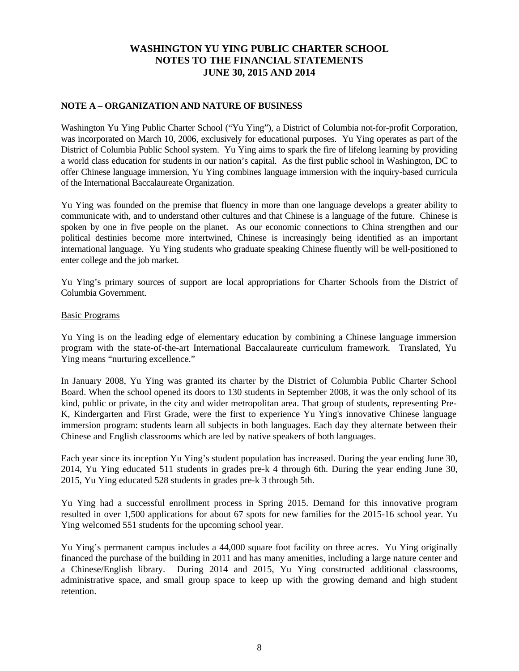## **NOTE A – ORGANIZATION AND NATURE OF BUSINESS**

Washington Yu Ying Public Charter School ("Yu Ying"), a District of Columbia not-for-profit Corporation, was incorporated on March 10, 2006, exclusively for educational purposes. Yu Ying operates as part of the District of Columbia Public School system. Yu Ying aims to spark the fire of lifelong learning by providing a world class education for students in our nation's capital. As the first public school in Washington, DC to offer Chinese language immersion, Yu Ying combines language immersion with the inquiry-based curricula of the International Baccalaureate Organization.

Yu Ying was founded on the premise that fluency in more than one language develops a greater ability to communicate with, and to understand other cultures and that Chinese is a language of the future. Chinese is spoken by one in five people on the planet. As our economic connections to China strengthen and our political destinies become more intertwined, Chinese is increasingly being identified as an important international language. Yu Ying students who graduate speaking Chinese fluently will be well-positioned to enter college and the job market.

Yu Ying's primary sources of support are local appropriations for Charter Schools from the District of Columbia Government.

#### Basic Programs

Yu Ying is on the leading edge of elementary education by combining a Chinese language immersion program with the state-of-the-art International Baccalaureate curriculum framework. Translated, Yu Ying means "nurturing excellence."

In January 2008, Yu Ying was granted its charter by the District of Columbia Public Charter School Board. When the school opened its doors to 130 students in September 2008, it was the only school of its kind, public or private, in the city and wider metropolitan area. That group of students, representing Pre-K, Kindergarten and First Grade, were the first to experience Yu Ying's innovative Chinese language immersion program: students learn all subjects in both languages. Each day they alternate between their Chinese and English classrooms which are led by native speakers of both languages.

Each year since its inception Yu Ying's student population has increased. During the year ending June 30, 2014, Yu Ying educated 511 students in grades pre-k 4 through 6th. During the year ending June 30, 2015, Yu Ying educated 528 students in grades pre-k 3 through 5th.

Yu Ying had a successful enrollment process in Spring 2015. Demand for this innovative program resulted in over 1,500 applications for about 67 spots for new families for the 2015-16 school year. Yu Ying welcomed 551 students for the upcoming school year.

Yu Ying's permanent campus includes a 44,000 square foot facility on three acres. Yu Ying originally financed the purchase of the building in 2011 and has many amenities, including a large nature center and a Chinese/English library. During 2014 and 2015, Yu Ying constructed additional classrooms, administrative space, and small group space to keep up with the growing demand and high student retention.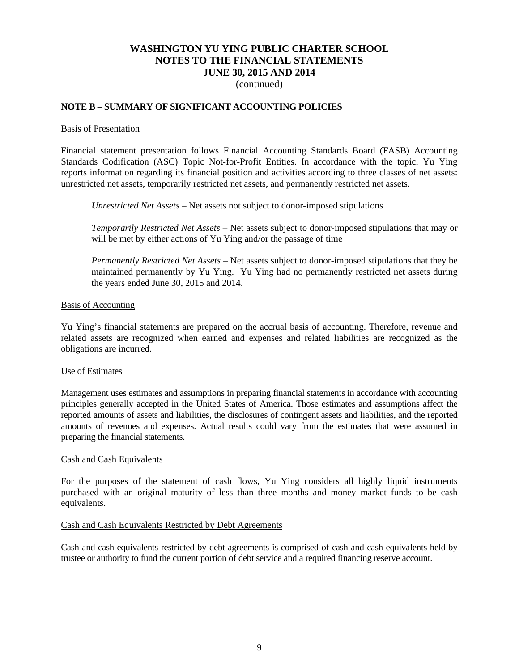(continued)

### **NOTE B – SUMMARY OF SIGNIFICANT ACCOUNTING POLICIES**

#### Basis of Presentation

Financial statement presentation follows Financial Accounting Standards Board (FASB) Accounting Standards Codification (ASC) Topic Not-for-Profit Entities. In accordance with the topic, Yu Ying reports information regarding its financial position and activities according to three classes of net assets: unrestricted net assets, temporarily restricted net assets, and permanently restricted net assets.

*Unrestricted Net Assets* – Net assets not subject to donor-imposed stipulations

*Temporarily Restricted Net Assets* – Net assets subject to donor-imposed stipulations that may or will be met by either actions of Yu Ying and/or the passage of time

*Permanently Restricted Net Assets* – Net assets subject to donor-imposed stipulations that they be maintained permanently by Yu Ying. Yu Ying had no permanently restricted net assets during the years ended June 30, 2015 and 2014.

#### Basis of Accounting

Yu Ying's financial statements are prepared on the accrual basis of accounting. Therefore, revenue and related assets are recognized when earned and expenses and related liabilities are recognized as the obligations are incurred.

#### Use of Estimates

Management uses estimates and assumptions in preparing financial statements in accordance with accounting principles generally accepted in the United States of America. Those estimates and assumptions affect the reported amounts of assets and liabilities, the disclosures of contingent assets and liabilities, and the reported amounts of revenues and expenses. Actual results could vary from the estimates that were assumed in preparing the financial statements.

#### Cash and Cash Equivalents

For the purposes of the statement of cash flows, Yu Ying considers all highly liquid instruments purchased with an original maturity of less than three months and money market funds to be cash equivalents.

#### Cash and Cash Equivalents Restricted by Debt Agreements

Cash and cash equivalents restricted by debt agreements is comprised of cash and cash equivalents held by trustee or authority to fund the current portion of debt service and a required financing reserve account.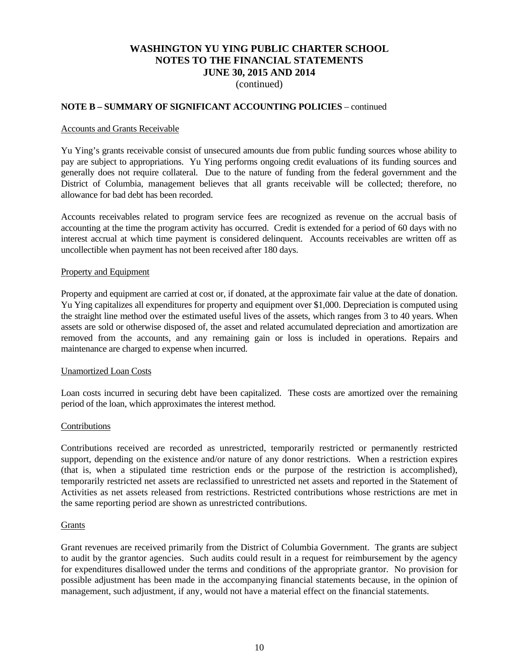(continued)

### **NOTE B – SUMMARY OF SIGNIFICANT ACCOUNTING POLICIES** – continued

#### Accounts and Grants Receivable

Yu Ying's grants receivable consist of unsecured amounts due from public funding sources whose ability to pay are subject to appropriations. Yu Ying performs ongoing credit evaluations of its funding sources and generally does not require collateral. Due to the nature of funding from the federal government and the District of Columbia, management believes that all grants receivable will be collected; therefore, no allowance for bad debt has been recorded.

Accounts receivables related to program service fees are recognized as revenue on the accrual basis of accounting at the time the program activity has occurred. Credit is extended for a period of 60 days with no interest accrual at which time payment is considered delinquent. Accounts receivables are written off as uncollectible when payment has not been received after 180 days.

#### Property and Equipment

Property and equipment are carried at cost or, if donated, at the approximate fair value at the date of donation. Yu Ying capitalizes all expenditures for property and equipment over \$1,000. Depreciation is computed using the straight line method over the estimated useful lives of the assets, which ranges from 3 to 40 years. When assets are sold or otherwise disposed of, the asset and related accumulated depreciation and amortization are removed from the accounts, and any remaining gain or loss is included in operations. Repairs and maintenance are charged to expense when incurred.

#### Unamortized Loan Costs

Loan costs incurred in securing debt have been capitalized. These costs are amortized over the remaining period of the loan, which approximates the interest method.

#### Contributions

Contributions received are recorded as unrestricted, temporarily restricted or permanently restricted support, depending on the existence and/or nature of any donor restrictions. When a restriction expires (that is, when a stipulated time restriction ends or the purpose of the restriction is accomplished), temporarily restricted net assets are reclassified to unrestricted net assets and reported in the Statement of Activities as net assets released from restrictions. Restricted contributions whose restrictions are met in the same reporting period are shown as unrestricted contributions.

#### Grants

Grant revenues are received primarily from the District of Columbia Government. The grants are subject to audit by the grantor agencies. Such audits could result in a request for reimbursement by the agency for expenditures disallowed under the terms and conditions of the appropriate grantor. No provision for possible adjustment has been made in the accompanying financial statements because, in the opinion of management, such adjustment, if any, would not have a material effect on the financial statements.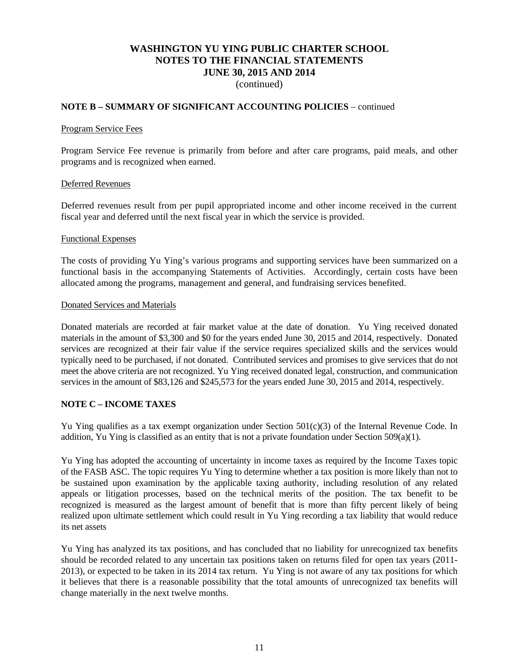(continued)

### **NOTE B – SUMMARY OF SIGNIFICANT ACCOUNTING POLICIES** – continued

#### Program Service Fees

Program Service Fee revenue is primarily from before and after care programs, paid meals, and other programs and is recognized when earned.

#### Deferred Revenues

Deferred revenues result from per pupil appropriated income and other income received in the current fiscal year and deferred until the next fiscal year in which the service is provided.

#### Functional Expenses

The costs of providing Yu Ying's various programs and supporting services have been summarized on a functional basis in the accompanying Statements of Activities. Accordingly, certain costs have been allocated among the programs, management and general, and fundraising services benefited.

#### Donated Services and Materials

Donated materials are recorded at fair market value at the date of donation. Yu Ying received donated materials in the amount of \$3,300 and \$0 for the years ended June 30, 2015 and 2014, respectively. Donated services are recognized at their fair value if the service requires specialized skills and the services would typically need to be purchased, if not donated. Contributed services and promises to give services that do not meet the above criteria are not recognized. Yu Ying received donated legal, construction, and communication services in the amount of \$83,126 and \$245,573 for the years ended June 30, 2015 and 2014, respectively.

#### **NOTE C – INCOME TAXES**

Yu Ying qualifies as a tax exempt organization under Section 501(c)(3) of the Internal Revenue Code. In addition, Yu Ying is classified as an entity that is not a private foundation under Section 509(a)(1).

Yu Ying has adopted the accounting of uncertainty in income taxes as required by the Income Taxes topic of the FASB ASC. The topic requires Yu Ying to determine whether a tax position is more likely than not to be sustained upon examination by the applicable taxing authority, including resolution of any related appeals or litigation processes, based on the technical merits of the position. The tax benefit to be recognized is measured as the largest amount of benefit that is more than fifty percent likely of being realized upon ultimate settlement which could result in Yu Ying recording a tax liability that would reduce its net assets

Yu Ying has analyzed its tax positions, and has concluded that no liability for unrecognized tax benefits should be recorded related to any uncertain tax positions taken on returns filed for open tax years (2011- 2013), or expected to be taken in its 2014 tax return. Yu Ying is not aware of any tax positions for which it believes that there is a reasonable possibility that the total amounts of unrecognized tax benefits will change materially in the next twelve months.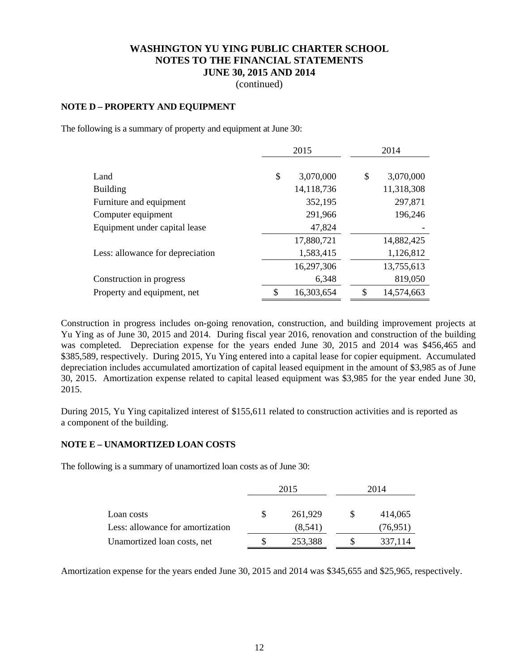(continued)

### **NOTE D – PROPERTY AND EQUIPMENT**

The following is a summary of property and equipment at June 30:

|                                  | 2015             | 2014 |            |  |
|----------------------------------|------------------|------|------------|--|
| Land                             | \$<br>3,070,000  | \$   | 3,070,000  |  |
| <b>Building</b>                  | 14,118,736       |      | 11,318,308 |  |
| Furniture and equipment          | 352,195          |      | 297,871    |  |
| Computer equipment               | 291,966          |      | 196,246    |  |
| Equipment under capital lease    | 47,824           |      |            |  |
|                                  | 17,880,721       |      | 14,882,425 |  |
| Less: allowance for depreciation | 1,583,415        |      | 1,126,812  |  |
|                                  | 16,297,306       |      | 13,755,613 |  |
| Construction in progress         | 6,348            |      | 819,050    |  |
| Property and equipment, net      | \$<br>16,303,654 | \$   | 14,574,663 |  |

Construction in progress includes on-going renovation, construction, and building improvement projects at Yu Ying as of June 30, 2015 and 2014. During fiscal year 2016, renovation and construction of the building was completed. Depreciation expense for the years ended June 30, 2015 and 2014 was \$456,465 and \$385,589, respectively. During 2015, Yu Ying entered into a capital lease for copier equipment. Accumulated depreciation includes accumulated amortization of capital leased equipment in the amount of \$3,985 as of June 30, 2015. Amortization expense related to capital leased equipment was \$3,985 for the year ended June 30, 2015.

During 2015, Yu Ying capitalized interest of \$155,611 related to construction activities and is reported as a component of the building.

#### **NOTE E – UNAMORTIZED LOAN COSTS**

The following is a summary of unamortized loan costs as of June 30:

|                                                | 2015                | 2014 |                      |  |
|------------------------------------------------|---------------------|------|----------------------|--|
| Loan costs<br>Less: allowance for amortization | 261,929<br>(8, 541) |      | 414,065<br>(76, 951) |  |
| Unamortized loan costs, net                    | 253,388             |      | 337,114              |  |

Amortization expense for the years ended June 30, 2015 and 2014 was \$345,655 and \$25,965, respectively.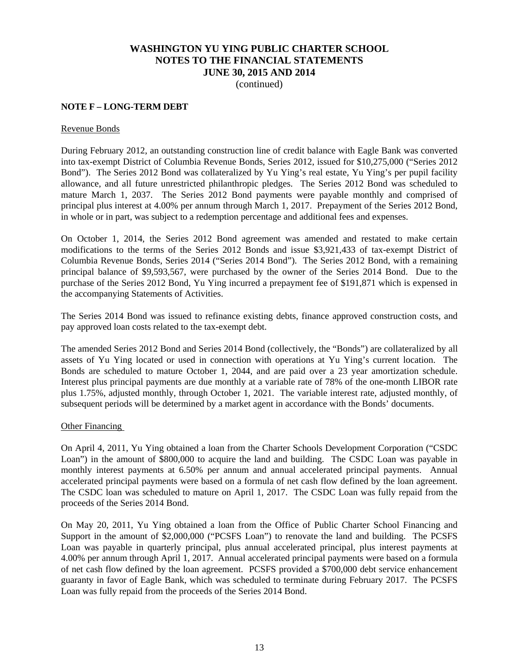(continued)

### **NOTE F – LONG-TERM DEBT**

#### Revenue Bonds

During February 2012, an outstanding construction line of credit balance with Eagle Bank was converted into tax-exempt District of Columbia Revenue Bonds, Series 2012, issued for \$10,275,000 ("Series 2012 Bond"). The Series 2012 Bond was collateralized by Yu Ying's real estate, Yu Ying's per pupil facility allowance, and all future unrestricted philanthropic pledges. The Series 2012 Bond was scheduled to mature March 1, 2037. The Series 2012 Bond payments were payable monthly and comprised of principal plus interest at 4.00% per annum through March 1, 2017. Prepayment of the Series 2012 Bond, in whole or in part, was subject to a redemption percentage and additional fees and expenses.

On October 1, 2014, the Series 2012 Bond agreement was amended and restated to make certain modifications to the terms of the Series 2012 Bonds and issue \$3,921,433 of tax-exempt District of Columbia Revenue Bonds, Series 2014 ("Series 2014 Bond"). The Series 2012 Bond, with a remaining principal balance of \$9,593,567, were purchased by the owner of the Series 2014 Bond. Due to the purchase of the Series 2012 Bond, Yu Ying incurred a prepayment fee of \$191,871 which is expensed in the accompanying Statements of Activities.

The Series 2014 Bond was issued to refinance existing debts, finance approved construction costs, and pay approved loan costs related to the tax-exempt debt.

The amended Series 2012 Bond and Series 2014 Bond (collectively, the "Bonds") are collateralized by all assets of Yu Ying located or used in connection with operations at Yu Ying's current location. The Bonds are scheduled to mature October 1, 2044, and are paid over a 23 year amortization schedule. Interest plus principal payments are due monthly at a variable rate of 78% of the one-month LIBOR rate plus 1.75%, adjusted monthly, through October 1, 2021. The variable interest rate, adjusted monthly, of subsequent periods will be determined by a market agent in accordance with the Bonds' documents.

#### Other Financing

On April 4, 2011, Yu Ying obtained a loan from the Charter Schools Development Corporation ("CSDC Loan") in the amount of \$800,000 to acquire the land and building. The CSDC Loan was payable in monthly interest payments at 6.50% per annum and annual accelerated principal payments. Annual accelerated principal payments were based on a formula of net cash flow defined by the loan agreement. The CSDC loan was scheduled to mature on April 1, 2017. The CSDC Loan was fully repaid from the proceeds of the Series 2014 Bond.

On May 20, 2011, Yu Ying obtained a loan from the Office of Public Charter School Financing and Support in the amount of \$2,000,000 ("PCSFS Loan") to renovate the land and building. The PCSFS Loan was payable in quarterly principal, plus annual accelerated principal, plus interest payments at 4.00% per annum through April 1, 2017. Annual accelerated principal payments were based on a formula of net cash flow defined by the loan agreement. PCSFS provided a \$700,000 debt service enhancement guaranty in favor of Eagle Bank, which was scheduled to terminate during February 2017. The PCSFS Loan was fully repaid from the proceeds of the Series 2014 Bond.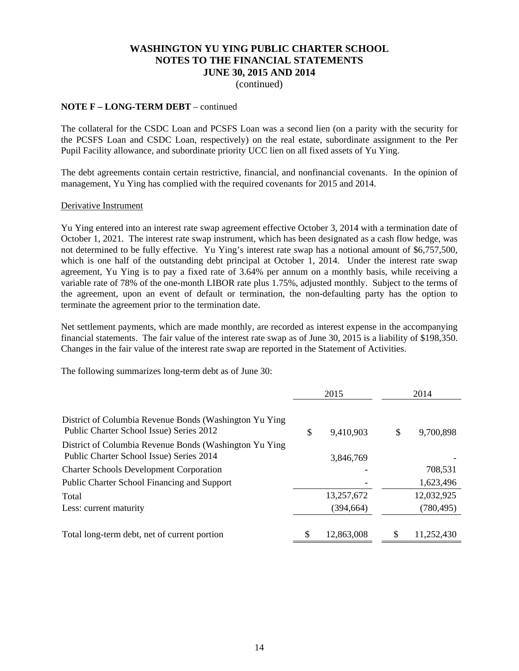(continued)

### **NOTE F – LONG-TERM DEBT** – continued

The collateral for the CSDC Loan and PCSFS Loan was a second lien (on a parity with the security for the PCSFS Loan and CSDC Loan, respectively) on the real estate, subordinate assignment to the Per Pupil Facility allowance, and subordinate priority UCC lien on all fixed assets of Yu Ying.

The debt agreements contain certain restrictive, financial, and nonfinancial covenants. In the opinion of management, Yu Ying has complied with the required covenants for 2015 and 2014.

#### Derivative Instrument

Yu Ying entered into an interest rate swap agreement effective October 3, 2014 with a termination date of October 1, 2021. The interest rate swap instrument, which has been designated as a cash flow hedge, was not determined to be fully effective. Yu Ying's interest rate swap has a notional amount of \$6,757,500, which is one half of the outstanding debt principal at October 1, 2014. Under the interest rate swap agreement, Yu Ying is to pay a fixed rate of 3.64% per annum on a monthly basis, while receiving a variable rate of 78% of the one-month LIBOR rate plus 1.75%, adjusted monthly. Subject to the terms of the agreement, upon an event of default or termination, the non-defaulting party has the option to terminate the agreement prior to the termination date.

Net settlement payments, which are made monthly, are recorded as interest expense in the accompanying financial statements. The fair value of the interest rate swap as of June 30, 2015 is a liability of \$198,350. Changes in the fair value of the interest rate swap are reported in the Statement of Activities.

The following summarizes long-term debt as of June 30:

|                                                                                                     | 2015             |    | 2014       |
|-----------------------------------------------------------------------------------------------------|------------------|----|------------|
| District of Columbia Revenue Bonds (Washington Yu Ying<br>Public Charter School Issue) Series 2012  | \$<br>9,410,903  | S  | 9,700,898  |
| District of Columbia Revenue Bonds (Washington Yu Ying)<br>Public Charter School Issue) Series 2014 | 3,846,769        |    |            |
| <b>Charter Schools Development Corporation</b>                                                      |                  |    | 708,531    |
| <b>Public Charter School Financing and Support</b>                                                  |                  |    | 1,623,496  |
| Total                                                                                               | 13,257,672       |    | 12,032,925 |
| Less: current maturity                                                                              | (394, 664)       |    | (780, 495) |
|                                                                                                     |                  |    |            |
| Total long-term debt, net of current portion                                                        | \$<br>12,863,008 | \$ | 11,252,430 |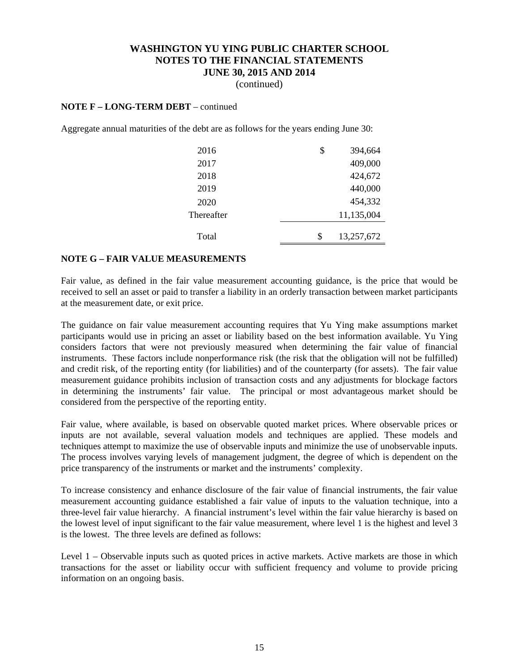(continued)

### **NOTE F – LONG-TERM DEBT** – continued

Aggregate annual maturities of the debt are as follows for the years ending June 30:

| 2016       | \$ | 394,664    |
|------------|----|------------|
| 2017       |    | 409,000    |
| 2018       |    | 424,672    |
| 2019       |    | 440,000    |
| 2020       |    | 454,332    |
| Thereafter |    | 11,135,004 |
|            |    |            |
| Total      | S  | 13,257,672 |

## **NOTE G – FAIR VALUE MEASUREMENTS**

Fair value, as defined in the fair value measurement accounting guidance, is the price that would be received to sell an asset or paid to transfer a liability in an orderly transaction between market participants at the measurement date, or exit price.

The guidance on fair value measurement accounting requires that Yu Ying make assumptions market participants would use in pricing an asset or liability based on the best information available. Yu Ying considers factors that were not previously measured when determining the fair value of financial instruments. These factors include nonperformance risk (the risk that the obligation will not be fulfilled) and credit risk, of the reporting entity (for liabilities) and of the counterparty (for assets). The fair value measurement guidance prohibits inclusion of transaction costs and any adjustments for blockage factors in determining the instruments' fair value. The principal or most advantageous market should be considered from the perspective of the reporting entity.

Fair value, where available, is based on observable quoted market prices. Where observable prices or inputs are not available, several valuation models and techniques are applied. These models and techniques attempt to maximize the use of observable inputs and minimize the use of unobservable inputs. The process involves varying levels of management judgment, the degree of which is dependent on the price transparency of the instruments or market and the instruments' complexity.

To increase consistency and enhance disclosure of the fair value of financial instruments, the fair value measurement accounting guidance established a fair value of inputs to the valuation technique, into a three-level fair value hierarchy. A financial instrument's level within the fair value hierarchy is based on the lowest level of input significant to the fair value measurement, where level 1 is the highest and level 3 is the lowest. The three levels are defined as follows:

Level 1 – Observable inputs such as quoted prices in active markets. Active markets are those in which transactions for the asset or liability occur with sufficient frequency and volume to provide pricing information on an ongoing basis.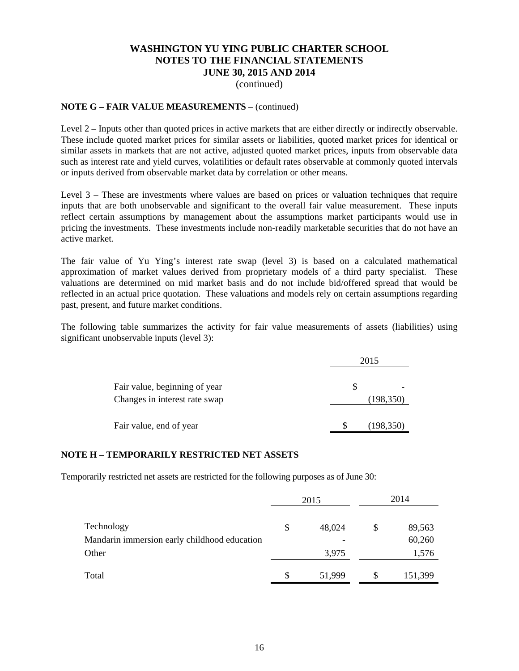(continued)

### **NOTE G – FAIR VALUE MEASUREMENTS** – (continued)

Level 2 – Inputs other than quoted prices in active markets that are either directly or indirectly observable. These include quoted market prices for similar assets or liabilities, quoted market prices for identical or similar assets in markets that are not active, adjusted quoted market prices, inputs from observable data such as interest rate and yield curves, volatilities or default rates observable at commonly quoted intervals or inputs derived from observable market data by correlation or other means.

Level 3 – These are investments where values are based on prices or valuation techniques that require inputs that are both unobservable and significant to the overall fair value measurement. These inputs reflect certain assumptions by management about the assumptions market participants would use in pricing the investments. These investments include non-readily marketable securities that do not have an active market.

The fair value of Yu Ying's interest rate swap (level 3) is based on a calculated mathematical approximation of market values derived from proprietary models of a third party specialist. These valuations are determined on mid market basis and do not include bid/offered spread that would be reflected in an actual price quotation. These valuations and models rely on certain assumptions regarding past, present, and future market conditions.

The following table summarizes the activity for fair value measurements of assets (liabilities) using significant unobservable inputs (level 3):

|                               | 2015 |            |  |  |
|-------------------------------|------|------------|--|--|
| Fair value, beginning of year |      |            |  |  |
| Changes in interest rate swap |      | (198,350)  |  |  |
| Fair value, end of year       |      | (198, 350) |  |  |

#### **NOTE H – TEMPORARILY RESTRICTED NET ASSETS**

Temporarily restricted net assets are restricted for the following purposes as of June 30:

|                                              |    | 2015   |   | 2014    |  |
|----------------------------------------------|----|--------|---|---------|--|
| Technology                                   | \$ | 48,024 | S | 89,563  |  |
| Mandarin immersion early childhood education |    |        |   | 60,260  |  |
| Other                                        |    | 3,975  |   | 1,576   |  |
| Total                                        | \$ | 51,999 |   | 151,399 |  |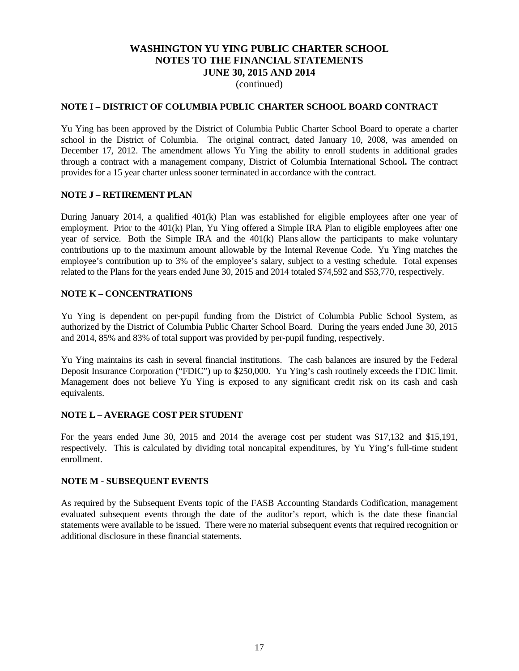(continued)

#### **NOTE I – DISTRICT OF COLUMBIA PUBLIC CHARTER SCHOOL BOARD CONTRACT**

Yu Ying has been approved by the District of Columbia Public Charter School Board to operate a charter school in the District of Columbia. The original contract, dated January 10, 2008, was amended on December 17, 2012. The amendment allows Yu Ying the ability to enroll students in additional grades through a contract with a management company, District of Columbia International School**.** The contract provides for a 15 year charter unless sooner terminated in accordance with the contract.

#### **NOTE J – RETIREMENT PLAN**

During January 2014, a qualified 401(k) Plan was established for eligible employees after one year of employment. Prior to the 401(k) Plan, Yu Ying offered a Simple IRA Plan to eligible employees after one year of service. Both the Simple IRA and the 401(k) Plans allow the participants to make voluntary contributions up to the maximum amount allowable by the Internal Revenue Code. Yu Ying matches the employee's contribution up to 3% of the employee's salary, subject to a vesting schedule. Total expenses related to the Plans for the years ended June 30, 2015 and 2014 totaled \$74,592 and \$53,770, respectively.

#### **NOTE K – CONCENTRATIONS**

Yu Ying is dependent on per-pupil funding from the District of Columbia Public School System, as authorized by the District of Columbia Public Charter School Board. During the years ended June 30, 2015 and 2014, 85% and 83% of total support was provided by per-pupil funding, respectively.

Yu Ying maintains its cash in several financial institutions. The cash balances are insured by the Federal Deposit Insurance Corporation ("FDIC") up to \$250,000. Yu Ying's cash routinely exceeds the FDIC limit. Management does not believe Yu Ying is exposed to any significant credit risk on its cash and cash equivalents.

### **NOTE L – AVERAGE COST PER STUDENT**

For the years ended June 30, 2015 and 2014 the average cost per student was \$17,132 and \$15,191, respectively. This is calculated by dividing total noncapital expenditures, by Yu Ying's full-time student enrollment.

#### **NOTE M - SUBSEQUENT EVENTS**

As required by the Subsequent Events topic of the FASB Accounting Standards Codification, management evaluated subsequent events through the date of the auditor's report, which is the date these financial statements were available to be issued. There were no material subsequent events that required recognition or additional disclosure in these financial statements.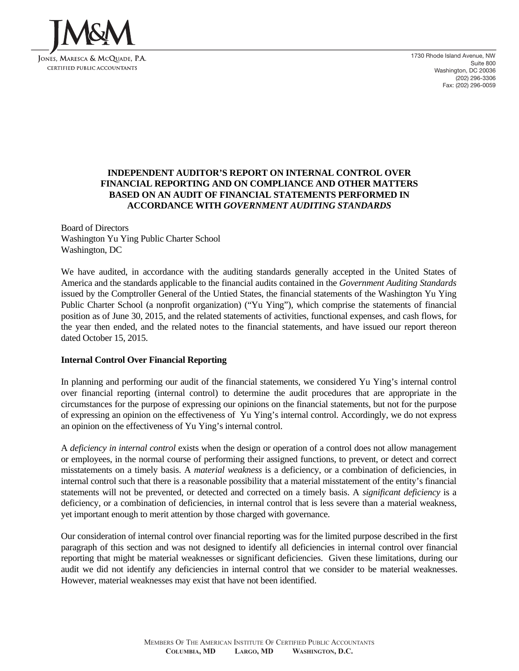

1730 Rhode Island Avenue, NW Suite 800 Washington, DC 20036 (202) 296-3306 Fax: (202) 296-0059

## **INDEPENDENT AUDITOR'S REPORT ON INTERNAL CONTROL OVER FINANCIAL REPORTING AND ON COMPLIANCE AND OTHER MATTERS BASED ON AN AUDIT OF FINANCIAL STATEMENTS PERFORMED IN ACCORDANCE WITH** *GOVERNMENT AUDITING STANDARDS*

Board of Directors Washington Yu Ying Public Charter School Washington, DC

We have audited, in accordance with the auditing standards generally accepted in the United States of America and the standards applicable to the financial audits contained in the *Government Auditing Standards* issued by the Comptroller General of the Untied States, the financial statements of the Washington Yu Ying Public Charter School (a nonprofit organization) ("Yu Ying"), which comprise the statements of financial position as of June 30, 2015, and the related statements of activities, functional expenses, and cash flows, for the year then ended, and the related notes to the financial statements, and have issued our report thereon dated October 15, 2015.

#### **Internal Control Over Financial Reporting**

In planning and performing our audit of the financial statements, we considered Yu Ying's internal control over financial reporting (internal control) to determine the audit procedures that are appropriate in the circumstances for the purpose of expressing our opinions on the financial statements, but not for the purpose of expressing an opinion on the effectiveness of Yu Ying's internal control. Accordingly, we do not express an opinion on the effectiveness of Yu Ying's internal control.

A *deficiency in internal control* exists when the design or operation of a control does not allow management or employees, in the normal course of performing their assigned functions, to prevent, or detect and correct misstatements on a timely basis. A *material weakness* is a deficiency, or a combination of deficiencies, in internal control such that there is a reasonable possibility that a material misstatement of the entity's financial statements will not be prevented, or detected and corrected on a timely basis. A *significant deficiency* is a deficiency, or a combination of deficiencies, in internal control that is less severe than a material weakness, yet important enough to merit attention by those charged with governance.

Our consideration of internal control over financial reporting was for the limited purpose described in the first paragraph of this section and was not designed to identify all deficiencies in internal control over financial reporting that might be material weaknesses or significant deficiencies. Given these limitations, during our audit we did not identify any deficiencies in internal control that we consider to be material weaknesses. However, material weaknesses may exist that have not been identified.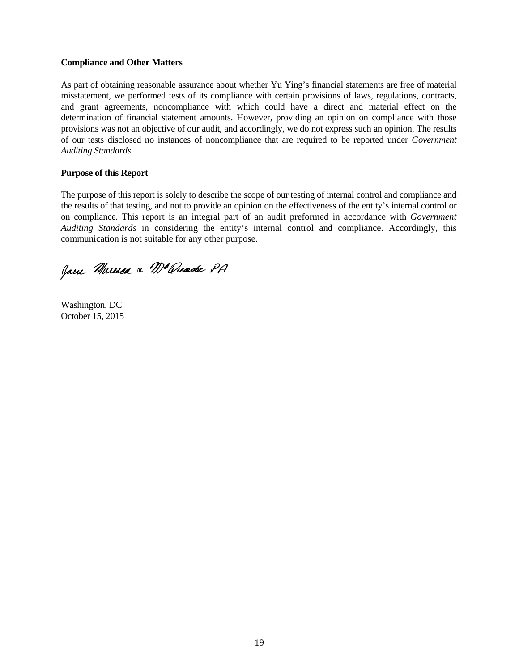### **Compliance and Other Matters**

As part of obtaining reasonable assurance about whether Yu Ying's financial statements are free of material misstatement, we performed tests of its compliance with certain provisions of laws, regulations, contracts, and grant agreements, noncompliance with which could have a direct and material effect on the determination of financial statement amounts. However, providing an opinion on compliance with those provisions was not an objective of our audit, and accordingly, we do not express such an opinion. The results of our tests disclosed no instances of noncompliance that are required to be reported under *Government Auditing Standards*.

#### **Purpose of this Report**

The purpose of this report is solely to describe the scope of our testing of internal control and compliance and the results of that testing, and not to provide an opinion on the effectiveness of the entity's internal control or on compliance. This report is an integral part of an audit preformed in accordance with *Government Auditing Standards* in considering the entity's internal control and compliance. Accordingly, this communication is not suitable for any other purpose.

Jam Marma & M'amade PA

Washington, DC October 15, 2015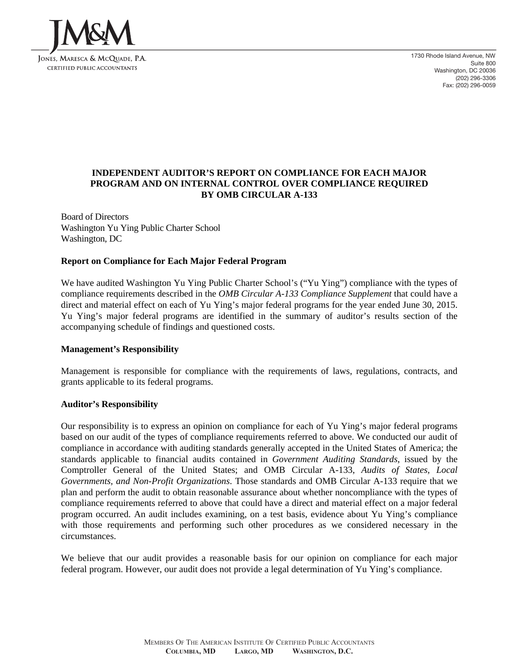

1730 Rhode Island Avenue, NW Suite 800 Washington, DC 20036 (202) 296-3306 Fax: (202) 296-0059

## **INDEPENDENT AUDITOR'S REPORT ON COMPLIANCE FOR EACH MAJOR PROGRAM AND ON INTERNAL CONTROL OVER COMPLIANCE REQUIRED BY OMB CIRCULAR A-133**

Board of Directors Washington Yu Ying Public Charter School Washington, DC

### **Report on Compliance for Each Major Federal Program**

We have audited Washington Yu Ying Public Charter School's ("Yu Ying") compliance with the types of compliance requirements described in the *OMB Circular A-133 Compliance Supplement* that could have a direct and material effect on each of Yu Ying's major federal programs for the year ended June 30, 2015. Yu Ying's major federal programs are identified in the summary of auditor's results section of the accompanying schedule of findings and questioned costs.

#### **Management's Responsibility**

Management is responsible for compliance with the requirements of laws, regulations, contracts, and grants applicable to its federal programs.

#### **Auditor's Responsibility**

Our responsibility is to express an opinion on compliance for each of Yu Ying's major federal programs based on our audit of the types of compliance requirements referred to above. We conducted our audit of compliance in accordance with auditing standards generally accepted in the United States of America; the standards applicable to financial audits contained in *Government Auditing Standards*, issued by the Comptroller General of the United States; and OMB Circular A-133, *Audits of States, Local Governments, and Non-Profit Organizations*. Those standards and OMB Circular A-133 require that we plan and perform the audit to obtain reasonable assurance about whether noncompliance with the types of compliance requirements referred to above that could have a direct and material effect on a major federal program occurred. An audit includes examining, on a test basis, evidence about Yu Ying's compliance with those requirements and performing such other procedures as we considered necessary in the circumstances.

We believe that our audit provides a reasonable basis for our opinion on compliance for each major federal program. However, our audit does not provide a legal determination of Yu Ying's compliance.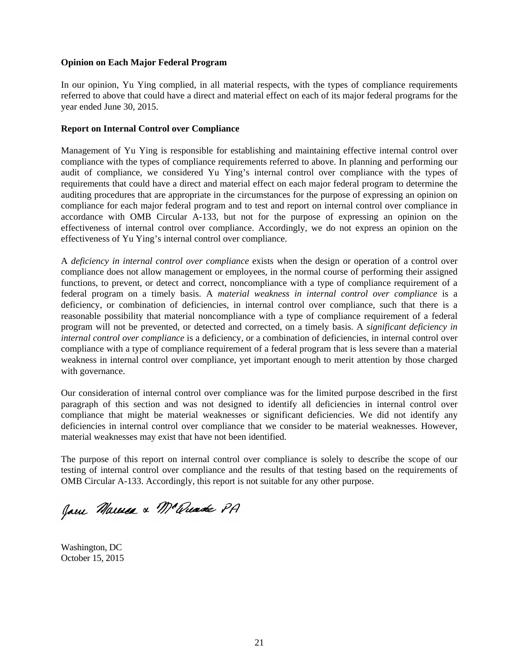### **Opinion on Each Major Federal Program**

In our opinion, Yu Ying complied, in all material respects, with the types of compliance requirements referred to above that could have a direct and material effect on each of its major federal programs for the year ended June 30, 2015.

### **Report on Internal Control over Compliance**

Management of Yu Ying is responsible for establishing and maintaining effective internal control over compliance with the types of compliance requirements referred to above. In planning and performing our audit of compliance, we considered Yu Ying's internal control over compliance with the types of requirements that could have a direct and material effect on each major federal program to determine the auditing procedures that are appropriate in the circumstances for the purpose of expressing an opinion on compliance for each major federal program and to test and report on internal control over compliance in accordance with OMB Circular A-133, but not for the purpose of expressing an opinion on the effectiveness of internal control over compliance. Accordingly, we do not express an opinion on the effectiveness of Yu Ying's internal control over compliance.

A *deficiency in internal control over compliance* exists when the design or operation of a control over compliance does not allow management or employees, in the normal course of performing their assigned functions, to prevent, or detect and correct, noncompliance with a type of compliance requirement of a federal program on a timely basis. A *material weakness in internal control over compliance* is a deficiency, or combination of deficiencies, in internal control over compliance, such that there is a reasonable possibility that material noncompliance with a type of compliance requirement of a federal program will not be prevented, or detected and corrected, on a timely basis. A *significant deficiency in internal control over compliance* is a deficiency, or a combination of deficiencies, in internal control over compliance with a type of compliance requirement of a federal program that is less severe than a material weakness in internal control over compliance, yet important enough to merit attention by those charged with governance.

Our consideration of internal control over compliance was for the limited purpose described in the first paragraph of this section and was not designed to identify all deficiencies in internal control over compliance that might be material weaknesses or significant deficiencies. We did not identify any deficiencies in internal control over compliance that we consider to be material weaknesses. However, material weaknesses may exist that have not been identified.

The purpose of this report on internal control over compliance is solely to describe the scope of our testing of internal control over compliance and the results of that testing based on the requirements of OMB Circular A-133. Accordingly, this report is not suitable for any other purpose.

Jam Marcesa & Ma Quade PA

Washington, DC October 15, 2015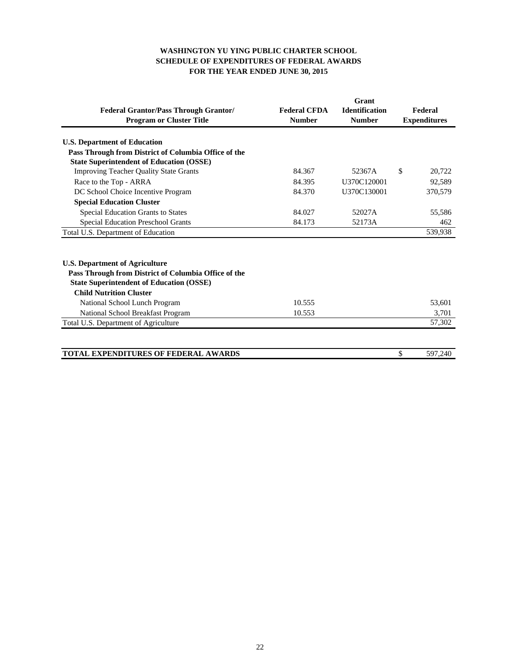#### **WASHINGTON YU YING PUBLIC CHARTER SCHOOL SCHEDULE OF EXPENDITURES OF FEDERAL AWARDS FOR THE YEAR ENDED JUNE 30, 2015**

|                                                      | Grant               |                       |                                |         |
|------------------------------------------------------|---------------------|-----------------------|--------------------------------|---------|
| <b>Federal Grantor/Pass Through Grantor/</b>         | <b>Federal CFDA</b> | <b>Identification</b> | Federal<br><b>Expenditures</b> |         |
| <b>Program or Cluster Title</b>                      | <b>Number</b>       | <b>Number</b>         |                                |         |
|                                                      |                     |                       |                                |         |
| <b>U.S. Department of Education</b>                  |                     |                       |                                |         |
| Pass Through from District of Columbia Office of the |                     |                       |                                |         |
| <b>State Superintendent of Education (OSSE)</b>      |                     |                       |                                |         |
| Improving Teacher Quality State Grants               | 84.367              | 52367A                | \$                             | 20,722  |
| Race to the Top - ARRA                               | 84.395              | U370C120001           |                                | 92,589  |
| DC School Choice Incentive Program                   | 84.370              | U370C130001           |                                | 370,579 |
| <b>Special Education Cluster</b>                     |                     |                       |                                |         |
| Special Education Grants to States                   | 84.027              | 52027A                |                                | 55,586  |
| Special Education Preschool Grants                   | 84.173              | 52173A                |                                | 462     |
| Total U.S. Department of Education                   |                     |                       |                                | 539,938 |
|                                                      |                     |                       |                                |         |
| <b>U.S. Department of Agriculture</b>                |                     |                       |                                |         |
| Pass Through from District of Columbia Office of the |                     |                       |                                |         |
| <b>State Superintendent of Education (OSSE)</b>      |                     |                       |                                |         |
| <b>Child Nutrition Cluster</b>                       |                     |                       |                                |         |
| National School Lunch Program                        | 10.555              |                       |                                | 53,601  |
| National School Breakfast Program                    | 10.553              |                       |                                | 3,701   |
| Total U.S. Department of Agriculture                 |                     |                       |                                | 57,302  |
|                                                      |                     |                       |                                |         |
|                                                      |                     |                       |                                |         |
| <b>TOTAL EXPENDITURES OF FEDERAL AWARDS</b>          |                     |                       | \$                             | 597,240 |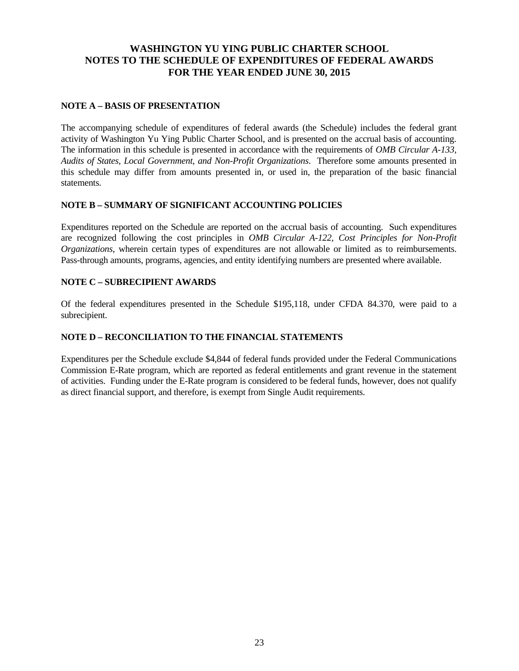## **WASHINGTON YU YING PUBLIC CHARTER SCHOOL NOTES TO THE SCHEDULE OF EXPENDITURES OF FEDERAL AWARDS FOR THE YEAR ENDED JUNE 30, 2015**

## **NOTE A – BASIS OF PRESENTATION**

The accompanying schedule of expenditures of federal awards (the Schedule) includes the federal grant activity of Washington Yu Ying Public Charter School, and is presented on the accrual basis of accounting. The information in this schedule is presented in accordance with the requirements of *OMB Circular A-133, Audits of States, Local Government, and Non-Profit Organizations*. Therefore some amounts presented in this schedule may differ from amounts presented in, or used in, the preparation of the basic financial statements.

## **NOTE B – SUMMARY OF SIGNIFICANT ACCOUNTING POLICIES**

Expenditures reported on the Schedule are reported on the accrual basis of accounting. Such expenditures are recognized following the cost principles in *OMB Circular A-122, Cost Principles for Non-Profit Organizations*, wherein certain types of expenditures are not allowable or limited as to reimbursements. Pass-through amounts, programs, agencies, and entity identifying numbers are presented where available.

## **NOTE C – SUBRECIPIENT AWARDS**

Of the federal expenditures presented in the Schedule \$195,118, under CFDA 84.370, were paid to a subrecipient.

## **NOTE D – RECONCILIATION TO THE FINANCIAL STATEMENTS**

Expenditures per the Schedule exclude \$4,844 of federal funds provided under the Federal Communications Commission E-Rate program, which are reported as federal entitlements and grant revenue in the statement of activities. Funding under the E-Rate program is considered to be federal funds, however, does not qualify as direct financial support, and therefore, is exempt from Single Audit requirements.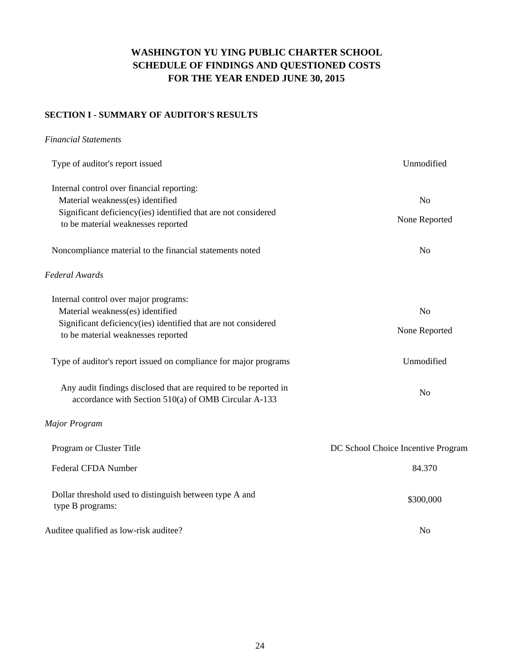# **WASHINGTON YU YING PUBLIC CHARTER SCHOOL SCHEDULE OF FINDINGS AND QUESTIONED COSTS FOR THE YEAR ENDED JUNE 30, 2015**

## **SECTION I - SUMMARY OF AUDITOR'S RESULTS**

#### *Financial Statements*

| Type of auditor's report issued                                                                                                          | Unmodified                         |  |
|------------------------------------------------------------------------------------------------------------------------------------------|------------------------------------|--|
| Internal control over financial reporting:<br>Material weakness(es) identified                                                           | N <sub>o</sub>                     |  |
| Significant deficiency(ies) identified that are not considered<br>to be material weaknesses reported                                     | None Reported                      |  |
| Noncompliance material to the financial statements noted                                                                                 | N <sub>o</sub>                     |  |
| Federal Awards                                                                                                                           |                                    |  |
| Internal control over major programs:                                                                                                    |                                    |  |
| Material weakness(es) identified<br>Significant deficiency(ies) identified that are not considered<br>to be material weaknesses reported | N <sub>o</sub><br>None Reported    |  |
| Type of auditor's report issued on compliance for major programs                                                                         | Unmodified                         |  |
| Any audit findings disclosed that are required to be reported in<br>accordance with Section 510(a) of OMB Circular A-133                 | N <sub>o</sub>                     |  |
| Major Program                                                                                                                            |                                    |  |
| Program or Cluster Title                                                                                                                 | DC School Choice Incentive Program |  |
| Federal CFDA Number                                                                                                                      | 84.370                             |  |
| Dollar threshold used to distinguish between type A and<br>type B programs:                                                              | \$300,000                          |  |
| Auditee qualified as low-risk auditee?                                                                                                   | N <sub>o</sub>                     |  |